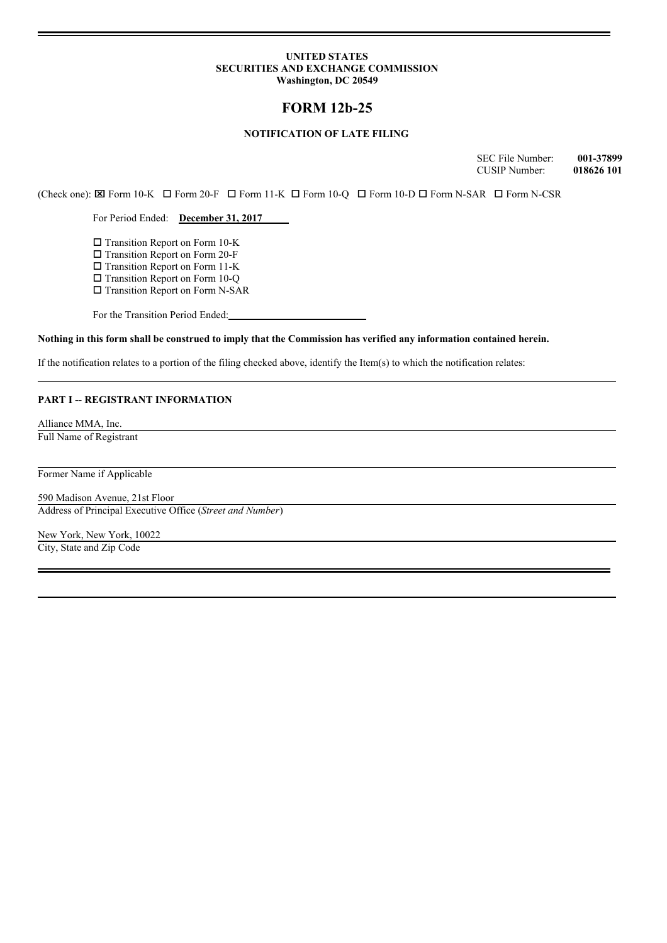#### **UNITED STATES SECURITIES AND EXCHANGE COMMISSION Washington, DC 20549**

# **FORM 12b-25**

# **NOTIFICATION OF LATE FILING**

SEC File Number: **001-37899** CUSIP Number: **018626 101**

(Check one):  $\boxtimes$  Form 10-K  $\Box$  Form 20-F  $\Box$  Form 11-K  $\Box$  Form 10-Q  $\Box$  Form N-O  $\Box$  Form N-SAR  $\Box$  Form N-CSR

For Period Ended: **December 31, 2017**

 $\square$  Transition Report on Form 10-K

 $\square$  Transition Report on Form 20-F

 $\square$  Transition Report on Form 11-K

 $\square$  Transition Report on Form 10-Q

 $\square$  Transition Report on Form N-SAR

For the Transition Period Ended:

Nothing in this form shall be construed to imply that the Commission has verified any information contained herein.

If the notification relates to a portion of the filing checked above, identify the Item(s) to which the notification relates:

## **PART I -- REGISTRANT INFORMATION**

Alliance MMA, Inc. Full Name of Registrant

Former Name if Applicable

590 Madison Avenue, 21st Floor Address of Principal Executive Office (*Street and Number*)

New York, New York, 10022 City, State and Zip Code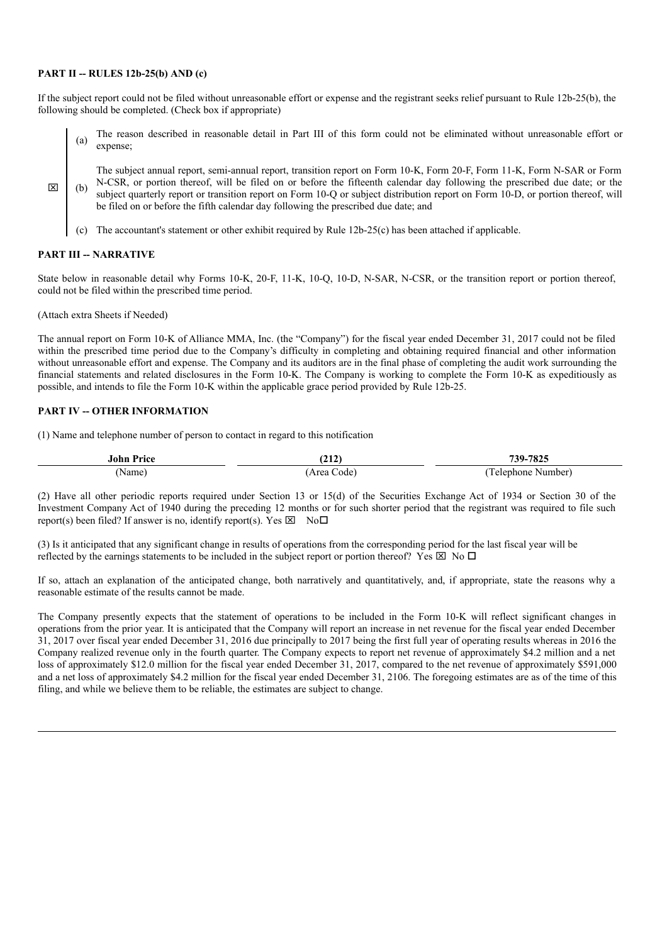### **PART II -- RULES 12b-25(b) AND (c)**

If the subject report could not be filed without unreasonable effort or expense and the registrant seeks relief pursuant to Rule 12b-25(b), the following should be completed. (Check box if appropriate)

(a) The reason described in reasonable detail in Part III of this form could not be eliminated without unreasonable effort or expense;

The subject annual report, semi-annual report, transition report on Form 10-K, Form 20-F, Form 11-K, Form N-SAR or Form N-CSR, or portion thereof, will be filed on or before the fifteenth calendar day following the prescribed due date; or the subject quarterly report or transition report on Form 10-Q or subject distribution report on Form 10-D, or portion thereof, will be filed on or before the fifth calendar day following the prescribed due date; and

(c) The accountant's statement or other exhibit required by Rule 12b-25(c) has been attached if applicable.

## **PART III -- NARRATIVE**

 $\boxtimes$ 

State below in reasonable detail why Forms 10-K, 20-F, 11-K, 10-Q, 10-D, N-SAR, N-CSR, or the transition report or portion thereof, could not be filed within the prescribed time period.

(Attach extra Sheets if Needed)

The annual report on Form 10-K of Alliance MMA, Inc. (the "Company") for the fiscal year ended December 31, 2017 could not be filed within the prescribed time period due to the Company's difficulty in completing and obtaining required financial and other information without unreasonable effort and expense. The Company and its auditors are in the final phase of completing the audit work surrounding the financial statements and related disclosures in the Form 10-K. The Company is working to complete the Form 10-K as expeditiously as possible, and intends to file the Form 10-K within the applicable grace period provided by Rule 12b-25.

# **PART IV -- OTHER INFORMATION**

(1) Name and telephone number of person to contact in regard to this notification

| <b>John Price</b> | (212)<br>717). | 739-7825           |
|-------------------|----------------|--------------------|
| (Name             | Area<br>Code   | Number<br>elephone |

(2) Have all other periodic reports required under Section 13 or 15(d) of the Securities Exchange Act of 1934 or Section 30 of the Investment Company Act of 1940 during the preceding 12 months or for such shorter period that the registrant was required to file such report(s) been filed? If answer is no, identify report(s). Yes  $\boxtimes$  No $\Box$ 

(3) Is it anticipated that any significant change in results of operations from the corresponding period for the last fiscal year will be reflected by the earnings statements to be included in the subject report or portion thereof? Yes  $\boxtimes$  No  $\square$ 

If so, attach an explanation of the anticipated change, both narratively and quantitatively, and, if appropriate, state the reasons why a reasonable estimate of the results cannot be made.

The Company presently expects that the statement of operations to be included in the Form 10-K will reflect significant changes in operations from the prior year. It is anticipated that the Company will report an increase in net revenue for the fiscal year ended December 31, 2017 over fiscal year ended December 31, 2016 due principally to 2017 being the first full year of operating results whereas in 2016 the Company realized revenue only in the fourth quarter. The Company expects to report net revenue of approximately \$4.2 million and a net loss of approximately \$12.0 million for the fiscal year ended December 31, 2017, compared to the net revenue of approximately \$591,000 and a net loss of approximately \$4.2 million for the fiscal year ended December 31, 2106. The foregoing estimates are as of the time of this filing, and while we believe them to be reliable, the estimates are subject to change.